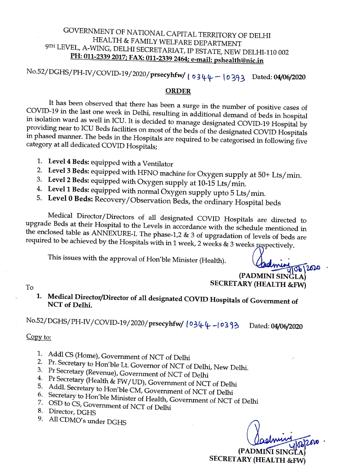## GOVERNMENT OF NATIONAL CAPITAL TERRITORY OF DELHI HEALTH & FAMILY WELFARE DEPARTMENT 9TH LEVEL, A-WING, DELHI SECRETARIAT, IP ESTATE, NEW DELHI-110 002 **PH: 011-2339 2017; FAX: 011-2339 2464; e-mail: pshealth@nic.in**

No.52/DGHS/PH-IV/COVID-19/2020/prsecyhfw/ | 0344-10393 Dated: 04/06/2020

## **ORDER**

It has been observed that there has been a surge in the number of positive cases of COVID-19 in the last one week in Delhi, resulting in additional demand of beds in hospital in isolation ward as well in ICU. It is decided to manage designated COVID-19 Hospital by providing near to ICU Beds facilities on most of the beds of the designated COVID Hospitals in phased manner. The beds in the Hospitals are required to be categorised in following five category at all dedicated COVID Hospitals;

- 1. **Level 4 Beds:** equipped with a Ventilator
- 2. **Level 3 Beds:** equipped with HFNO machine for Oxygen supply at 50+ Lts/ min.
- 3. **Level 2 Beds:** equipped with Oxygen supply at 10-15 Lts/min.
- 4. **Level 1 Beds:** equipped with normal Oxygen supply upto 5 Lts/ min.
- 5. **Level O Beds:** Recovery/ Observation Beds, the ordinary Hospital beds

Medical Director/Directors of all designated COVID Hospitals are directed to upgrade Beds at their Hospital to the Levels in accordance with the schedule mentioned in the enclosed table as ANNEXURE-I. The phase-1,2 & 3 of upgradation of levels of beds are required to be achieved by the Hospitals with in 1 week, 2 weeks  $\&$  3 weeks respectively.

This issues with the approval of Hon'ble Minister (Health).

 $\sqrt[4]{56}/200$ **(PADMINI SINGLA SECRETARY (HEALTH &FW)** 

To

**1. Medical Director/Director of all designated COVID Hospitals of Government of NCT of Delhi.** 

No.52/DGHS/PH-IV/COVID-19/2020/prsecyhfw/  $(0344 - 10333)$  Dated: 04/06/2020

## Copy to:

- 1. Addl CS (Home), Government of NCT of Delhi
- 2. Pr. Secretary to Hon'ble Lt. Governor of NCT of Delhi, New Delhi.
- 3. Pr Secretary (Revenue), Government of NCT of Delhi
- 4. Pr Secretary (Health & FW /UD), Government of NCT of Delhi
- 5. Addl. Secretary to Hon'ble CM, Government of NCT of Delhi
- 6. Secretary to Hon'ble Minister of Health, Government of NCT of Delhi
- 7. OSD to CS, Government of NCT of Delhi 8. Director, DGHS
- 
- 9. All CDMO's under DGHS

**(PADMINI SING** SECRET **ARY (HEALTH &FW)**